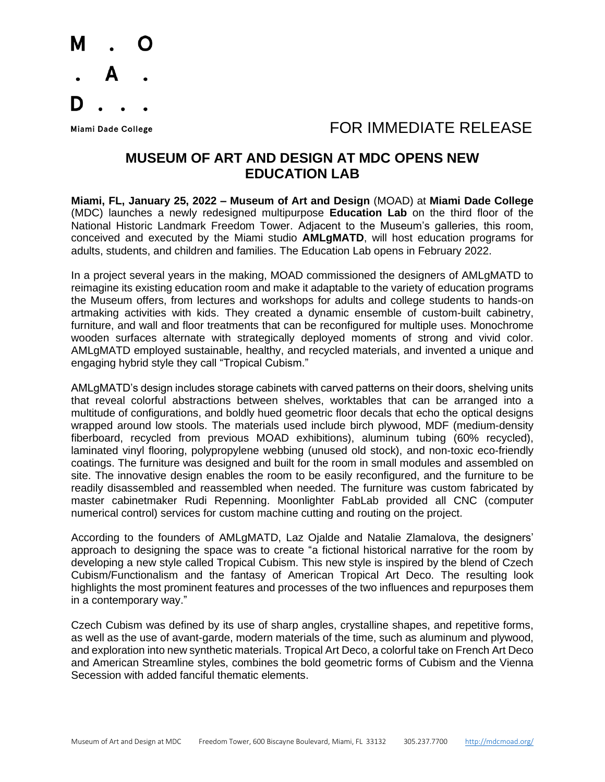

### Miami Dade College The College College College The College The College The College The College The College The College The College The College The College The College The College The College The College The College The Col

### **MUSEUM OF ART AND DESIGN AT MDC OPENS NEW EDUCATION LAB**

**Miami, FL, January 25, 2022 – Museum of Art and Design** (MOAD) at **Miami Dade College** (MDC) launches a newly redesigned multipurpose **Education Lab** on the third floor of the National Historic Landmark Freedom Tower. Adjacent to the Museum's galleries, this room, conceived and executed by the Miami studio **AMLgMATD**, will host education programs for adults, students, and children and families. The Education Lab opens in February 2022.

In a project several years in the making, MOAD commissioned the designers of AMLgMATD to reimagine its existing education room and make it adaptable to the variety of education programs the Museum offers, from lectures and workshops for adults and college students to hands-on artmaking activities with kids. They created a dynamic ensemble of custom-built cabinetry, furniture, and wall and floor treatments that can be reconfigured for multiple uses. Monochrome wooden surfaces alternate with strategically deployed moments of strong and vivid color. AMLgMATD employed sustainable, healthy, and recycled materials, and invented a unique and engaging hybrid style they call "Tropical Cubism."

AMLgMATD's design includes storage cabinets with carved patterns on their doors, shelving units that reveal colorful abstractions between shelves, worktables that can be arranged into a multitude of configurations, and boldly hued geometric floor decals that echo the optical designs wrapped around low stools. The materials used include birch plywood, MDF (medium-density fiberboard, recycled from previous MOAD exhibitions), aluminum tubing (60% recycled), laminated vinyl flooring, polypropylene webbing (unused old stock), and non-toxic eco-friendly coatings. The furniture was designed and built for the room in small modules and assembled on site. The innovative design enables the room to be easily reconfigured, and the furniture to be readily disassembled and reassembled when needed. The furniture was custom fabricated by master cabinetmaker Rudi Repenning. Moonlighter FabLab provided all CNC (computer numerical control) services for custom machine cutting and routing on the project.

According to the founders of AMLgMATD, Laz Ojalde and Natalie Zlamalova, the designers' approach to designing the space was to create "a fictional historical narrative for the room by developing a new style called Tropical Cubism. This new style is inspired by the blend of Czech Cubism/Functionalism and the fantasy of American Tropical Art Deco. The resulting look highlights the most prominent features and processes of the two influences and repurposes them in a contemporary way."

Czech Cubism was defined by its use of sharp angles, crystalline shapes, and repetitive forms, as well as the use of avant-garde, modern materials of the time, such as aluminum and plywood, and exploration into new synthetic materials. Tropical Art Deco, a colorful take on French Art Deco and American Streamline styles, combines the bold geometric forms of Cubism and the Vienna Secession with added fanciful thematic elements.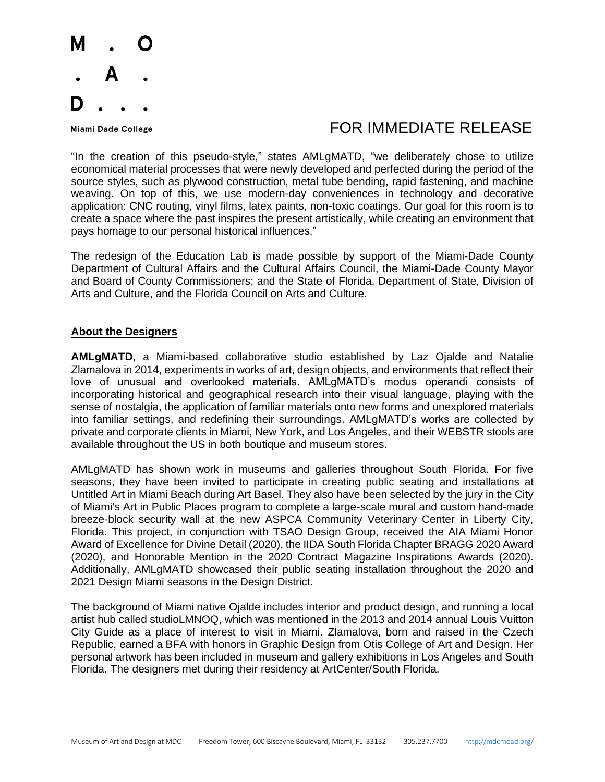

### Miami Dade College **Algebra 1999 TOR IMMEDIATE RELEASE**

"In the creation of this pseudo-style," states AMLgMATD, "we deliberately chose to utilize economical material processes that were newly developed and perfected during the period of the source styles, such as plywood construction, metal tube bending, rapid fastening, and machine weaving. On top of this, we use modern-day conveniences in technology and decorative application: CNC routing, vinyl films, latex paints, non-toxic coatings. Our goal for this room is to create a space where the past inspires the present artistically, while creating an environment that pays homage to our personal historical influences."

The redesign of the Education Lab is made possible by support of the Miami-Dade County Department of Cultural Affairs and the Cultural Affairs Council, the Miami-Dade County Mayor and Board of County Commissioners; and the State of Florida, Department of State, Division of Arts and Culture, and the Florida Council on Arts and Culture.

#### **About the Designers**

**AMLgMATD**, a Miami-based collaborative studio established by Laz Ojalde and Natalie Zlamalova in 2014, experiments in works of art, design objects, and environments that reflect their love of unusual and overlooked materials. AMLgMATD's modus operandi consists of incorporating historical and geographical research into their visual language, playing with the sense of nostalgia, the application of familiar materials onto new forms and unexplored materials into familiar settings, and redefining their surroundings. AMLgMATD's works are collected by private and corporate clients in Miami, New York, and Los Angeles, and their WEBSTR stools are available throughout the US in both boutique and museum stores.

AMLgMATD has shown work in museums and galleries throughout South Florida. For five seasons, they have been invited to participate in creating public seating and installations at Untitled Art in Miami Beach during Art Basel. They also have been selected by the jury in the City of Miami's Art in Public Places program to complete a large-scale mural and custom hand-made breeze-block security wall at the new ASPCA Community Veterinary Center in Liberty City, Florida. This project, in conjunction with TSAO Design Group, received the AIA Miami Honor Award of Excellence for Divine Detail (2020), the IIDA South Florida Chapter BRAGG 2020 Award (2020), and Honorable Mention in the 2020 Contract Magazine Inspirations Awards (2020). Additionally, AMLgMATD showcased their public seating installation throughout the 2020 and 2021 Design Miami seasons in the Design District.

The background of Miami native Ojalde includes interior and product design, and running a local artist hub called studioLMNOQ, which was mentioned in the 2013 and 2014 annual Louis Vuitton City Guide as a place of interest to visit in Miami. Zlamalova, born and raised in the Czech Republic, earned a BFA with honors in Graphic Design from Otis College of Art and Design. Her personal artwork has been included in museum and gallery exhibitions in Los Angeles and South Florida. The designers met during their residency at ArtCenter/South Florida.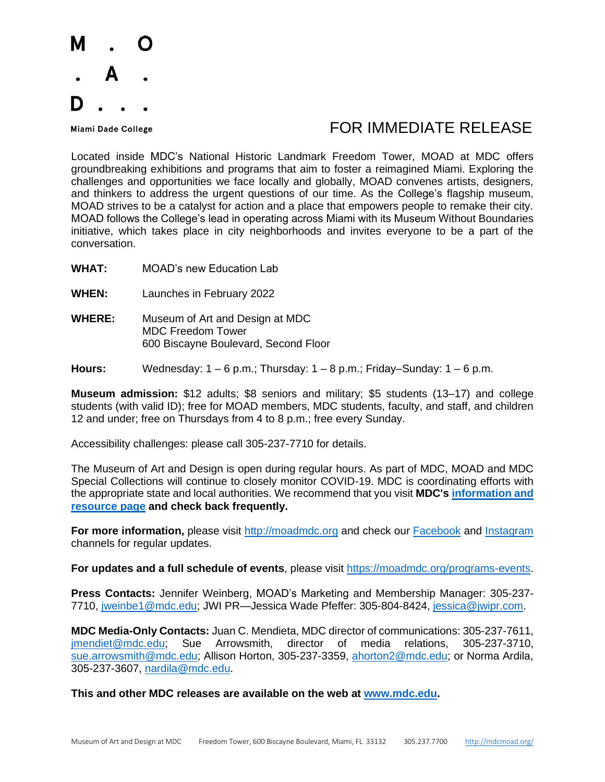

## Miami Dade College The College College College The College The College The College The College The College The College The College The College The College The College The College The College The College The College The Col

Located inside MDC's National Historic Landmark Freedom Tower, MOAD at MDC offers groundbreaking exhibitions and programs that aim to foster a reimagined Miami. Exploring the challenges and opportunities we face locally and globally, MOAD convenes artists, designers, and thinkers to address the urgent questions of our time. As the College's flagship museum, MOAD strives to be a catalyst for action and a place that empowers people to remake their city. MOAD follows the College's lead in operating across Miami with its Museum Without Boundaries initiative, which takes place in city neighborhoods and invites everyone to be a part of the conversation.

- **WHAT:** MOAD's new Education Lab
- **WHEN:** Launches in February 2022
- **WHERE:** Museum of Art and Design at MDC MDC Freedom Tower 600 Biscayne Boulevard, Second Floor
- **Hours:** Wednesday: 1 6 p.m.; Thursday: 1 8 p.m.; Friday–Sunday: 1 6 p.m.

**Museum admission:** \$12 adults; \$8 seniors and military; \$5 students (13–17) and college students (with valid ID); free for MOAD members, MDC students, faculty, and staff, and children 12 and under; free on Thursdays from 4 to 8 p.m.; free every Sunday.

Accessibility challenges: please call 305-237-7710 for details.

The Museum of Art and Design is open during regular hours. As part of MDC, MOAD and MDC Special Collections will continue to closely monitor COVID-19. MDC is coordinating efforts with the appropriate state and local authorities. We recommend that you visit **MDC's [information and](about:blank)  [resource page](about:blank) and check back frequently.**

**For more information,** please visit [http://moadmdc.org](about:blank) and check our [Facebook](about:blank) and [Instagram](about:blank) channels for regular updates.

**For updates and a full schedule of events**, please visit [https://moadmdc.org/programs-events.](about:blank)

**Press Contacts:** Jennifer Weinberg, MOAD's Marketing and Membership Manager: 305-237- 7710, [jweinbe1@mdc.edu;](about:blank) JWI PR—Jessica Wade Pfeffer: 305-804-8424, [jessica@jwipr.com.](about:blank)

**MDC Media-Only Contacts:** Juan C. Mendieta, MDC director of communications: 305-237-7611, [jmendiet@mdc.edu;](about:blank) Sue Arrowsmith, director of media relations, 305-237-3710, [sue.arrowsmith@mdc.edu;](about:blank) Allison Horton, 305-237-3359, [ahorton2@mdc.edu;](about:blank) or Norma Ardila, 305-237-3607, [nardila@mdc.edu.](about:blank)

**This and other MDC releases are available on the web at [www.mdc.edu.](about:blank)**